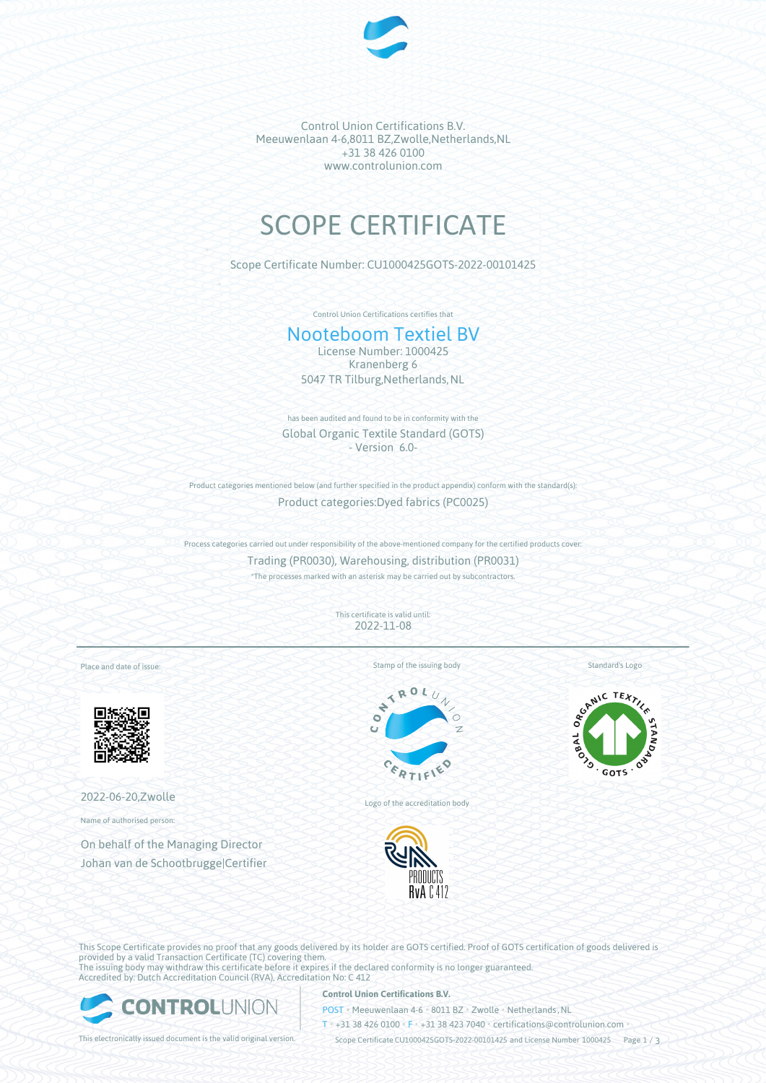

Control Union Certifications B.V. Meeuwenlaan 4-6,8011 BZ,Zwolle,Netherlands,NL +31 38 426 0100 www.controlunion.com

# SCOPE CERTIFICATE

Scope Certificate Number: CU1000425GOTS-2022-00101425

Control Union Certifications certifies that

# Nooteboom Textiel BV

License Number: 1000425 Kranenberg 6 5047 TR Tilburg, Netherlands, NL

has been audited and found to be in conformity with the Global Organic Textile Standard (GOTS) - Version 6.0-

Product categories mentioned below (and further specified in the product appendix) conform with the standard(s):

Product categories:Dyed fabrics (PC0025)

Process categories carried out under responsibility of the above-mentioned company for the certified products cover: Trading (PR0030), Warehousing, distribution (PR0031) \*The processes marked with an asterisk may be carried out by subcontractors.

> This certificate is valid until: 2022-11-08

Place and date of issue:



2022-06-20,Zwolle

Name of authorised person:

On behalf of the Managing Director Johan van de Schootbrugge|Certifier Stamp of the issuing body



Logo of the accreditation body



SEAMIC TEXTILE  $GOTS$ 

Standard's Logo

This Scope Certificate provides no proof that any goods delivered by its holder are GOTS certified. Proof of GOTS certification of goods delivered is provided by a valid Transaction Certificate (TC) covering them. The issuing body may withdraw this certificate before it expires if the declared conformity is no longer guaranteed. Accredited by: Dutch Accreditation Council (RVA), Accreditation No: C 412



## **Control Union Certifications B.V.**

POST • Meeuwenlaan 4-6 • 8011 BZ • Zwolle • Netherlands, NL

T • +31 38 426 0100 • F • +31 38 423 7040 • certifications@controlunion.com •

This electronically issued document is the valid original version. Scope Certificate CU1000425GOTS-2022-00101425 and License Number 1000425 Page 1 / 3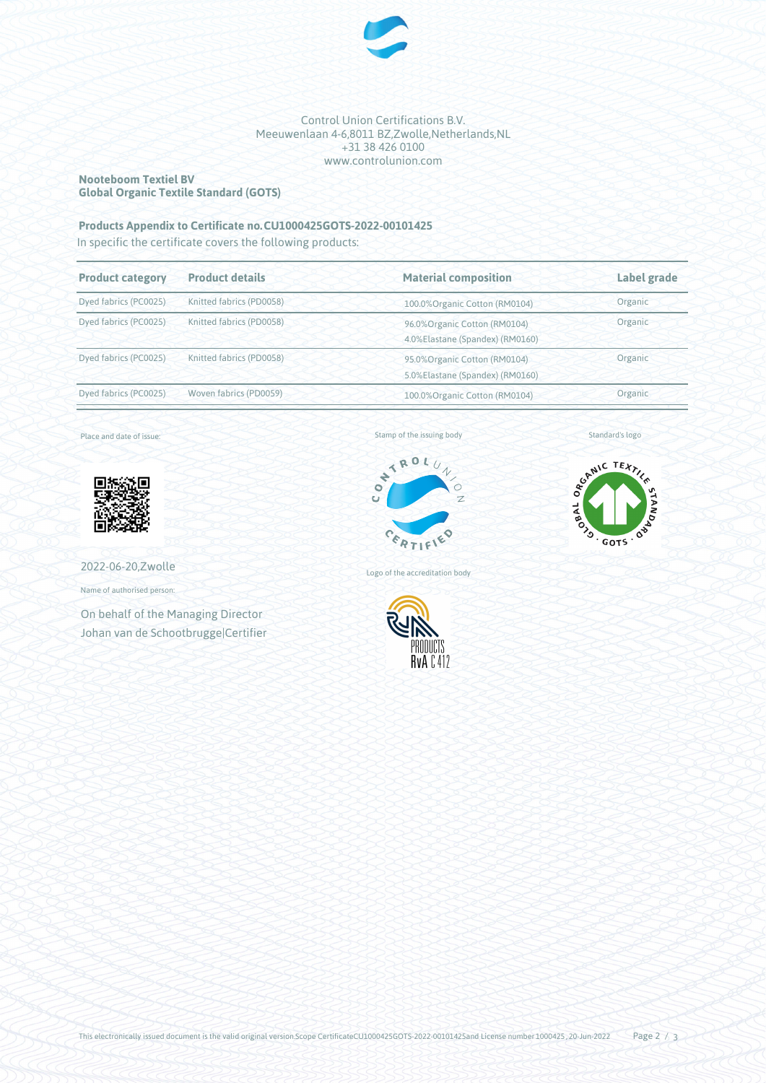

#### Control Union Certifications B.V. Meeuwenlaan 4-6,8011 BZ,Zwolle,Netherlands,NL +31 38 426 0100 www.controlunion.com

#### **Nooteboom Textiel BV Global Organic Textile Standard (GOTS)**

# **Products Appendix to Certificate no.CU1000425GOTS-2022-00101425**

In specific the certificate covers the following products:

| <b>Product category</b>                           | <b>Product details</b>   | <b>Material composition</b>                                      | Label grade |
|---------------------------------------------------|--------------------------|------------------------------------------------------------------|-------------|
| Dyed fabrics (PC0025)                             | Knitted fabrics (PD0058) | 100.0% Organic Cotton (RM0104)                                   | Organic     |
| Dyed fabrics (PC0025)                             | Knitted fabrics (PD0058) | 96.0% Organic Cotton (RM0104)<br>4.0%Elastane (Spandex) (RM0160) | Organic     |
| Knitted fabrics (PD0058)<br>Dyed fabrics (PC0025) |                          | 95.0% Organic Cotton (RM0104)<br>5.0%Elastane (Spandex) (RM0160) | Organic     |
| Dyed fabrics (PC0025)                             | Woven fabrics (PD0059)   | 100.0%Organic Cotton (RM0104)                                    | Organic     |

Place and date of issue:



Stamp of the issuing body



Standard's logo



2022-06-20,Zwolle

Name of authorised person:

On behalf of the Managing Director Johan van de Schootbrugge|Certifier Logo of the accreditation body